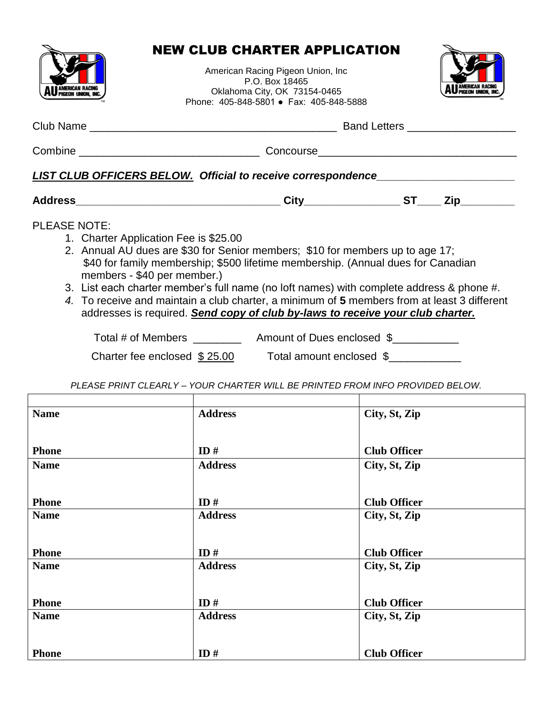

## NEW CLUB CHARTER APPLICATION

American Racing Pigeon Union, Inc P.O. Box 18465 Oklahoma City, OK 73154-0465 Phone: 405-848-5801 ● Fax: 405-848-5888



| LIST CLUB OFFICERS BELOW. Official to receive correspondence____________________                                                                                                                                                                                                                                                                                                                                                                                                                                                                                                                         |                                                                               |                                      |  |
|----------------------------------------------------------------------------------------------------------------------------------------------------------------------------------------------------------------------------------------------------------------------------------------------------------------------------------------------------------------------------------------------------------------------------------------------------------------------------------------------------------------------------------------------------------------------------------------------------------|-------------------------------------------------------------------------------|--------------------------------------|--|
|                                                                                                                                                                                                                                                                                                                                                                                                                                                                                                                                                                                                          |                                                                               |                                      |  |
| <b>PLEASE NOTE:</b><br>1. Charter Application Fee is \$25.00<br>2. Annual AU dues are \$30 for Senior members; \$10 for members up to age 17;<br>\$40 for family membership; \$500 lifetime membership. (Annual dues for Canadian<br>members - \$40 per member.)<br>3. List each charter member's full name (no loft names) with complete address & phone #.<br>4. To receive and maintain a club charter, a minimum of 5 members from at least 3 different<br>addresses is required. Send copy of club by-laws to receive your club charter.<br>Charter fee enclosed $$25.00$ Total amount enclosed $$$ |                                                                               |                                      |  |
|                                                                                                                                                                                                                                                                                                                                                                                                                                                                                                                                                                                                          | PLEASE PRINT CLEARLY - YOUR CHARTER WILL BE PRINTED FROM INFO PROVIDED BELOW. |                                      |  |
|                                                                                                                                                                                                                                                                                                                                                                                                                                                                                                                                                                                                          |                                                                               |                                      |  |
| <b>Name</b>                                                                                                                                                                                                                                                                                                                                                                                                                                                                                                                                                                                              | <b>Address</b>                                                                | City, St, Zip                        |  |
| <b>Phone</b>                                                                                                                                                                                                                                                                                                                                                                                                                                                                                                                                                                                             | ID#                                                                           | <b>Club Officer</b>                  |  |
| <b>Name</b><br><b>Phone</b>                                                                                                                                                                                                                                                                                                                                                                                                                                                                                                                                                                              | <b>Address</b><br>ID#                                                         | City, St, Zip<br><b>Club Officer</b> |  |
| <b>Name</b>                                                                                                                                                                                                                                                                                                                                                                                                                                                                                                                                                                                              | <b>Address</b>                                                                | City, St, Zip                        |  |
| <b>Phone</b>                                                                                                                                                                                                                                                                                                                                                                                                                                                                                                                                                                                             | ID#                                                                           | <b>Club Officer</b>                  |  |
| <b>Name</b><br><b>Phone</b>                                                                                                                                                                                                                                                                                                                                                                                                                                                                                                                                                                              | <b>Address</b><br>ID#                                                         | City, St, Zip<br><b>Club Officer</b> |  |
| <b>Name</b><br><b>Phone</b>                                                                                                                                                                                                                                                                                                                                                                                                                                                                                                                                                                              | <b>Address</b><br>ID#                                                         | City, St, Zip<br><b>Club Officer</b> |  |
|                                                                                                                                                                                                                                                                                                                                                                                                                                                                                                                                                                                                          |                                                                               |                                      |  |